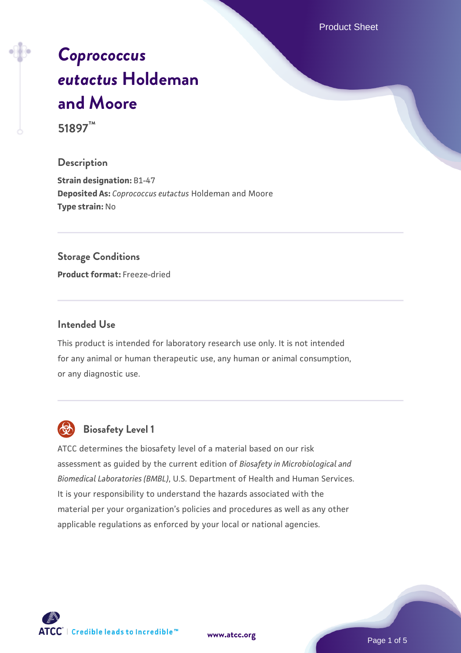Product Sheet

# *[Coprococcus](https://www.atcc.org/products/51897) [eutactus](https://www.atcc.org/products/51897)* **[Holdeman](https://www.atcc.org/products/51897) [and Moore](https://www.atcc.org/products/51897) 51897™**

#### **Description**

**Strain designation:** B1-47 **Deposited As:** *Coprococcus eutactus* Holdeman and Moore **Type strain:** No

#### **Storage Conditions**

**Product format:** Freeze-dried

#### **Intended Use**

This product is intended for laboratory research use only. It is not intended for any animal or human therapeutic use, any human or animal consumption, or any diagnostic use.



#### **Biosafety Level 1**

ATCC determines the biosafety level of a material based on our risk assessment as guided by the current edition of *Biosafety in Microbiological and Biomedical Laboratories (BMBL)*, U.S. Department of Health and Human Services. It is your responsibility to understand the hazards associated with the material per your organization's policies and procedures as well as any other applicable regulations as enforced by your local or national agencies.

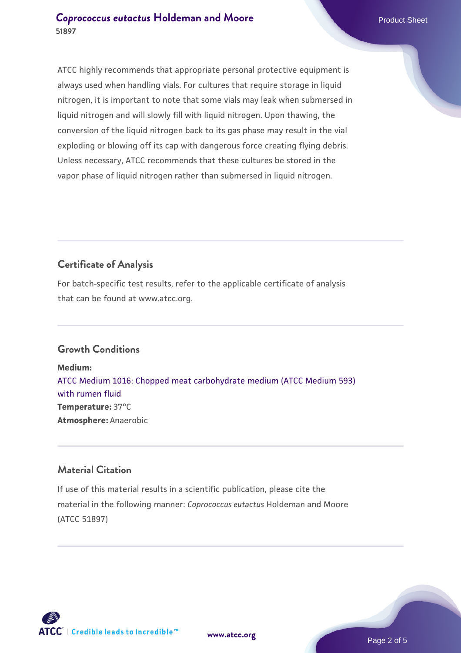#### **[Coprococcus eutactus](https://www.atcc.org/products/51897) [Holdeman and Moore](https://www.atcc.org/products/51897) Product Sheet** Product Sheet **51897**

ATCC highly recommends that appropriate personal protective equipment is always used when handling vials. For cultures that require storage in liquid nitrogen, it is important to note that some vials may leak when submersed in liquid nitrogen and will slowly fill with liquid nitrogen. Upon thawing, the conversion of the liquid nitrogen back to its gas phase may result in the vial exploding or blowing off its cap with dangerous force creating flying debris. Unless necessary, ATCC recommends that these cultures be stored in the vapor phase of liquid nitrogen rather than submersed in liquid nitrogen.

### **Certificate of Analysis**

For batch-specific test results, refer to the applicable certificate of analysis that can be found at www.atcc.org.

#### **Growth Conditions**

**Medium:**  [ATCC Medium 1016: Chopped meat carbohydrate medium \(ATCC Medium 593\)](https://www.atcc.org/-/media/product-assets/documents/microbial-media-formulations/atcc-medium-1016.pdf?rev=6b8ba557ff29461298bf8b0643d99f6c) [with rumen fluid](https://www.atcc.org/-/media/product-assets/documents/microbial-media-formulations/atcc-medium-1016.pdf?rev=6b8ba557ff29461298bf8b0643d99f6c) **Temperature:** 37°C **Atmosphere:** Anaerobic

#### **Material Citation**

If use of this material results in a scientific publication, please cite the material in the following manner: *Coprococcus eutactus* Holdeman and Moore (ATCC 51897)

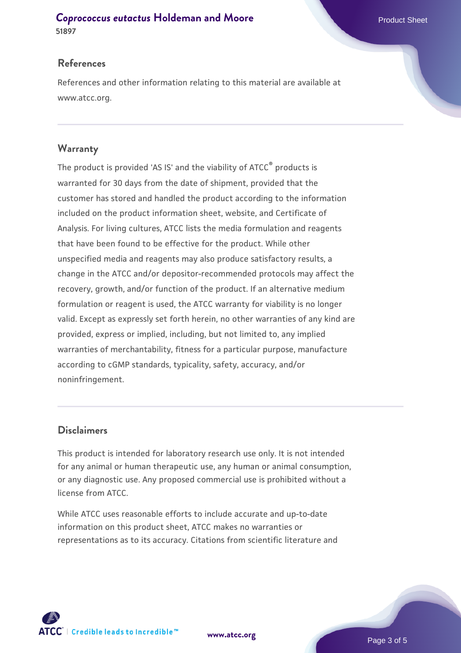**[Coprococcus eutactus](https://www.atcc.org/products/51897) [Holdeman and Moore](https://www.atcc.org/products/51897) Product Sheet** Product Sheet **51897**

#### **References**

References and other information relating to this material are available at www.atcc.org.

#### **Warranty**

The product is provided 'AS IS' and the viability of ATCC® products is warranted for 30 days from the date of shipment, provided that the customer has stored and handled the product according to the information included on the product information sheet, website, and Certificate of Analysis. For living cultures, ATCC lists the media formulation and reagents that have been found to be effective for the product. While other unspecified media and reagents may also produce satisfactory results, a change in the ATCC and/or depositor-recommended protocols may affect the recovery, growth, and/or function of the product. If an alternative medium formulation or reagent is used, the ATCC warranty for viability is no longer valid. Except as expressly set forth herein, no other warranties of any kind are provided, express or implied, including, but not limited to, any implied warranties of merchantability, fitness for a particular purpose, manufacture according to cGMP standards, typicality, safety, accuracy, and/or noninfringement.

#### **Disclaimers**

This product is intended for laboratory research use only. It is not intended for any animal or human therapeutic use, any human or animal consumption, or any diagnostic use. Any proposed commercial use is prohibited without a license from ATCC.

While ATCC uses reasonable efforts to include accurate and up-to-date information on this product sheet, ATCC makes no warranties or representations as to its accuracy. Citations from scientific literature and

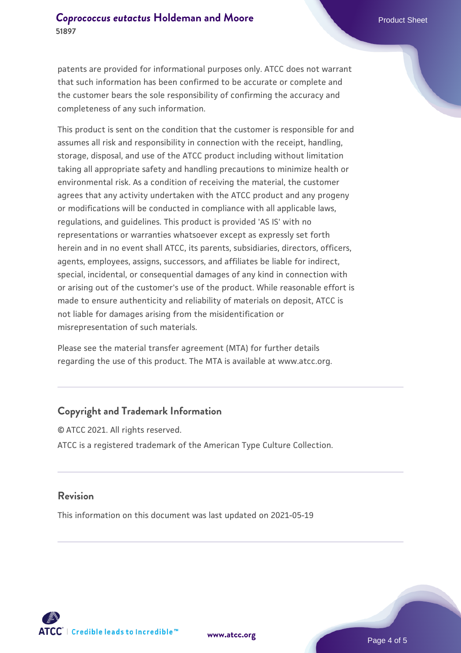patents are provided for informational purposes only. ATCC does not warrant that such information has been confirmed to be accurate or complete and the customer bears the sole responsibility of confirming the accuracy and completeness of any such information.

This product is sent on the condition that the customer is responsible for and assumes all risk and responsibility in connection with the receipt, handling, storage, disposal, and use of the ATCC product including without limitation taking all appropriate safety and handling precautions to minimize health or environmental risk. As a condition of receiving the material, the customer agrees that any activity undertaken with the ATCC product and any progeny or modifications will be conducted in compliance with all applicable laws, regulations, and guidelines. This product is provided 'AS IS' with no representations or warranties whatsoever except as expressly set forth herein and in no event shall ATCC, its parents, subsidiaries, directors, officers, agents, employees, assigns, successors, and affiliates be liable for indirect, special, incidental, or consequential damages of any kind in connection with or arising out of the customer's use of the product. While reasonable effort is made to ensure authenticity and reliability of materials on deposit, ATCC is not liable for damages arising from the misidentification or misrepresentation of such materials.

Please see the material transfer agreement (MTA) for further details regarding the use of this product. The MTA is available at www.atcc.org.

#### **Copyright and Trademark Information**

© ATCC 2021. All rights reserved. ATCC is a registered trademark of the American Type Culture Collection.

#### **Revision**

This information on this document was last updated on 2021-05-19



**[www.atcc.org](http://www.atcc.org)**

Page 4 of 5